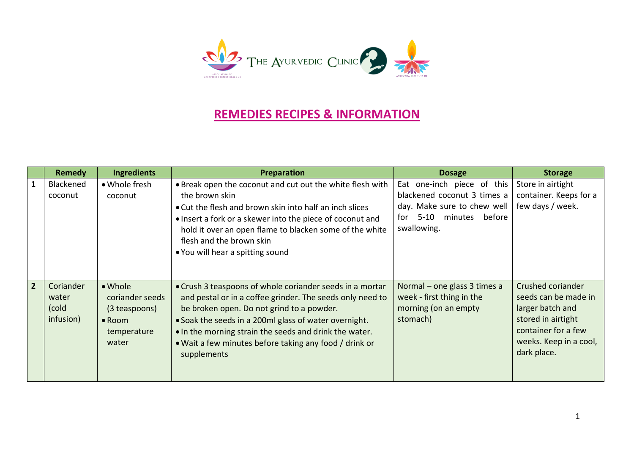

## **REMEDIES RECIPES & INFORMATION**

|                | <b>Remedy</b>                            | <b>Ingredients</b>                                                                    | Preparation                                                                                                                                                                                                                                                                                                                                                    | <b>Dosage</b>                                                                                                                         | <b>Storage</b>                                                                                                                                      |
|----------------|------------------------------------------|---------------------------------------------------------------------------------------|----------------------------------------------------------------------------------------------------------------------------------------------------------------------------------------------------------------------------------------------------------------------------------------------------------------------------------------------------------------|---------------------------------------------------------------------------------------------------------------------------------------|-----------------------------------------------------------------------------------------------------------------------------------------------------|
|                | Blackened<br>coconut                     | • Whole fresh<br>coconut                                                              | • Break open the coconut and cut out the white flesh with<br>the brown skin<br>• Cut the flesh and brown skin into half an inch slices<br>. Insert a fork or a skewer into the piece of coconut and<br>hold it over an open flame to blacken some of the white<br>flesh and the brown skin<br>• You will hear a spitting sound                                 | Eat one-inch piece of this<br>blackened coconut 3 times a<br>day. Make sure to chew well<br>5-10 minutes before<br>for<br>swallowing. | Store in airtight<br>container. Keeps for a<br>few days / week.                                                                                     |
| $\overline{2}$ | Coriander<br>water<br>(cold<br>infusion) | • Whole<br>coriander seeds<br>(3 teaspoons)<br>$\bullet$ Room<br>temperature<br>water | • Crush 3 teaspoons of whole coriander seeds in a mortar<br>and pestal or in a coffee grinder. The seeds only need to<br>be broken open. Do not grind to a powder.<br>• Soak the seeds in a 200ml glass of water overnight.<br>• In the morning strain the seeds and drink the water.<br>• Wait a few minutes before taking any food / drink or<br>supplements | Normal – one glass 3 times a<br>week - first thing in the<br>morning (on an empty<br>stomach)                                         | Crushed coriander<br>seeds can be made in<br>larger batch and<br>stored in airtight<br>container for a few<br>weeks. Keep in a cool,<br>dark place. |